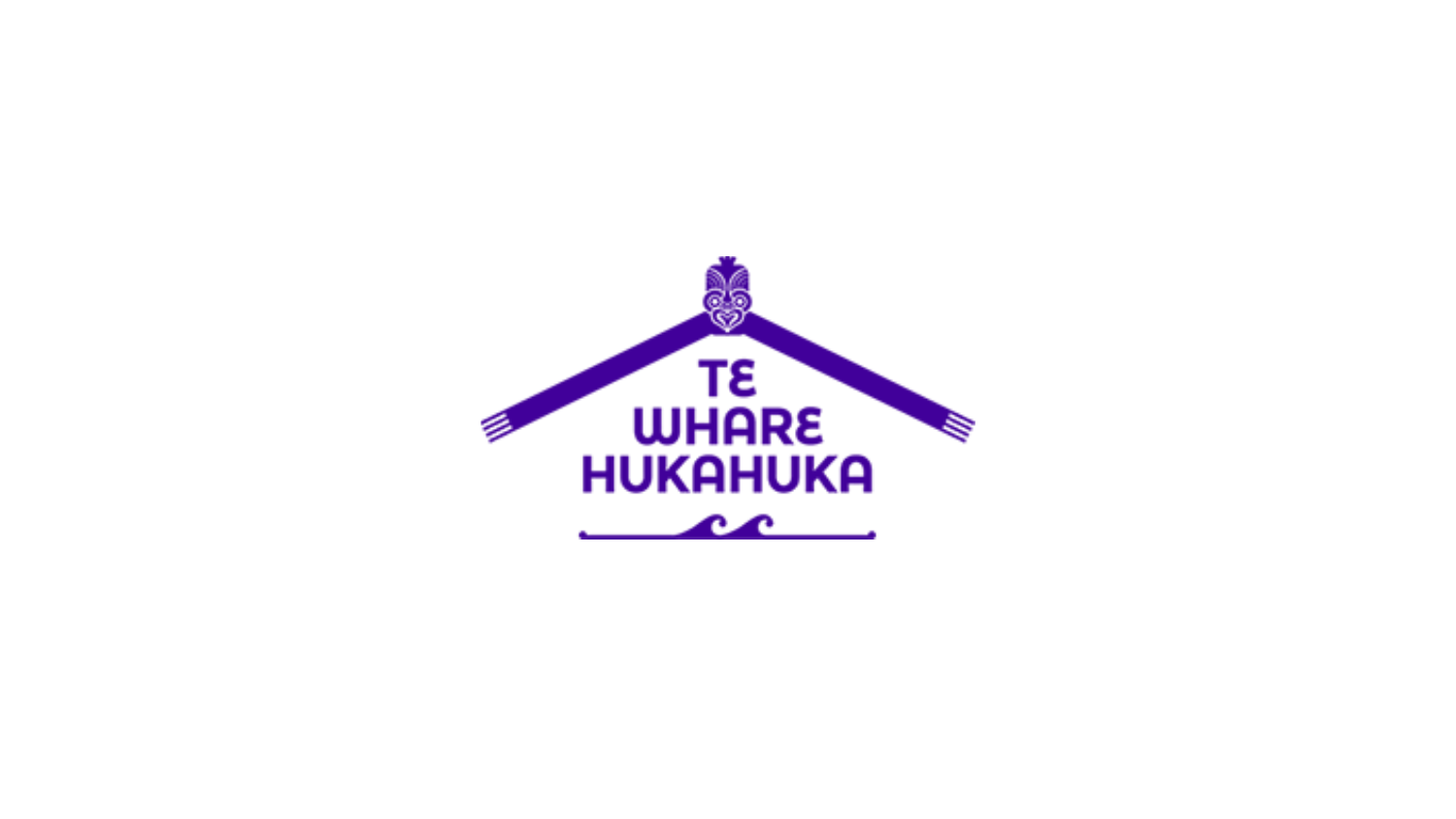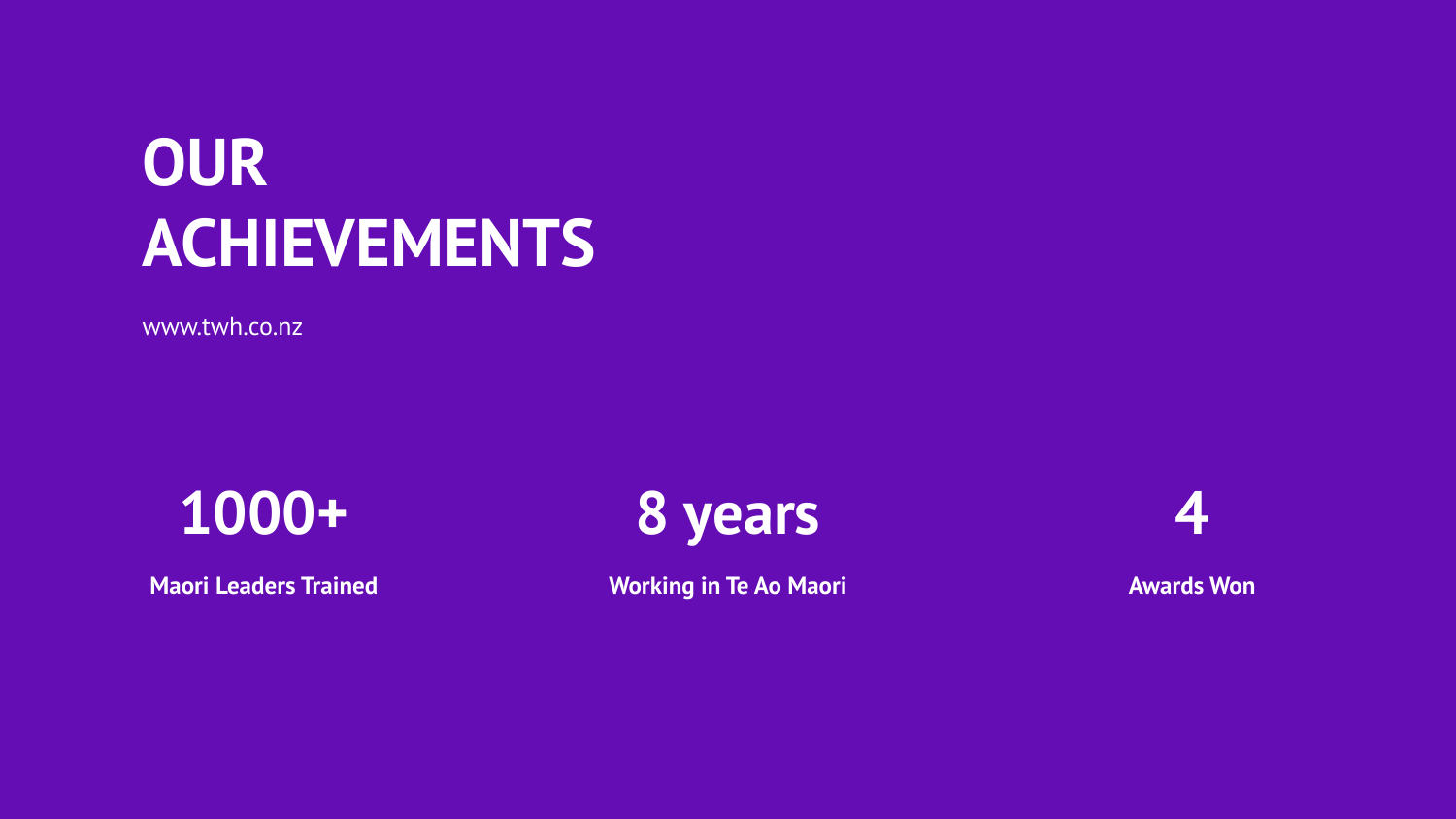### **OUR ACHIEVEMENTS**

www.twh.co.nz

### **1000+**

**Maori Leaders Trained**



**Working in Te Ao Maori**



**Awards Won**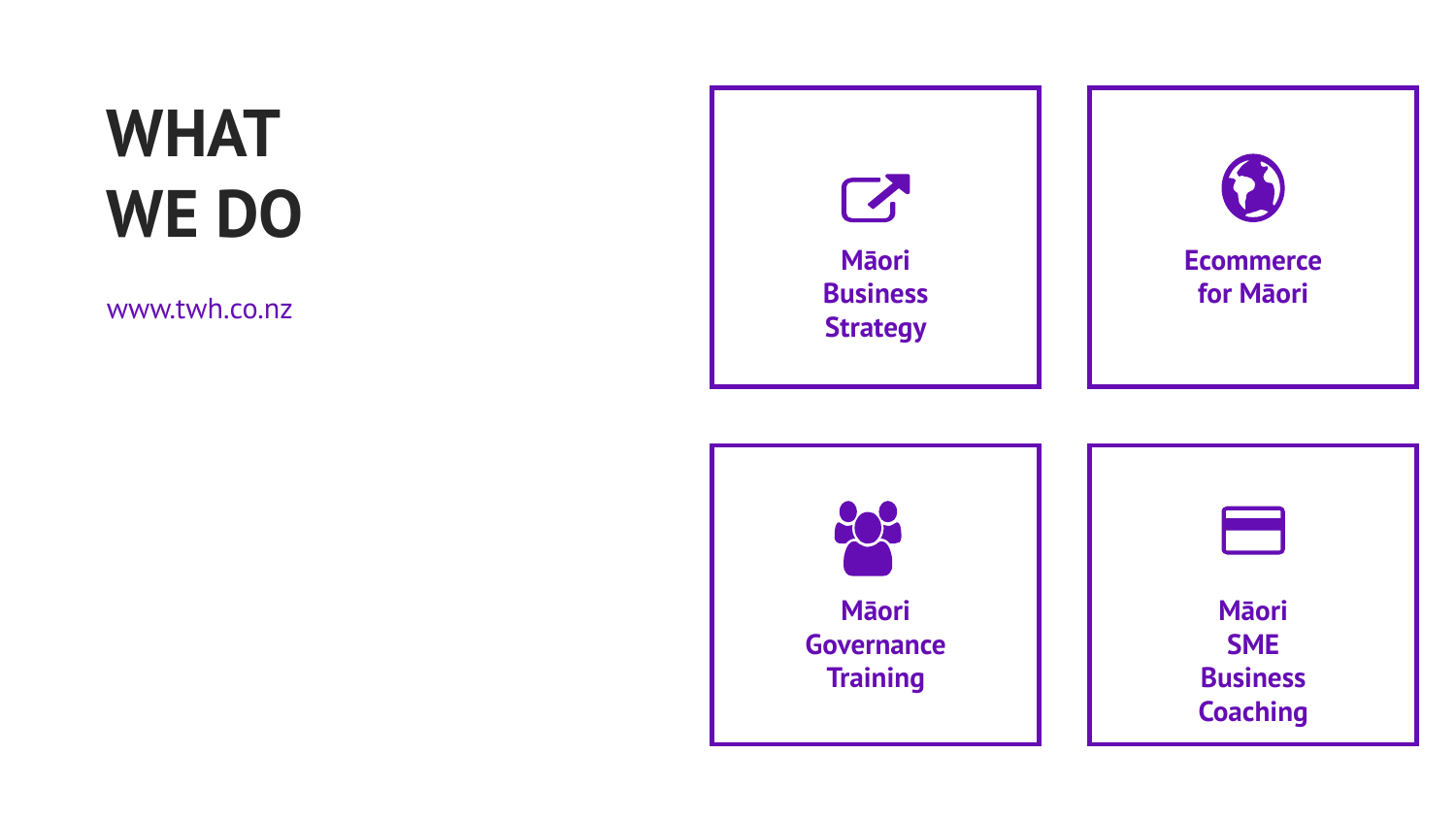# **WHAT WE DO**

www.twh.co.nz



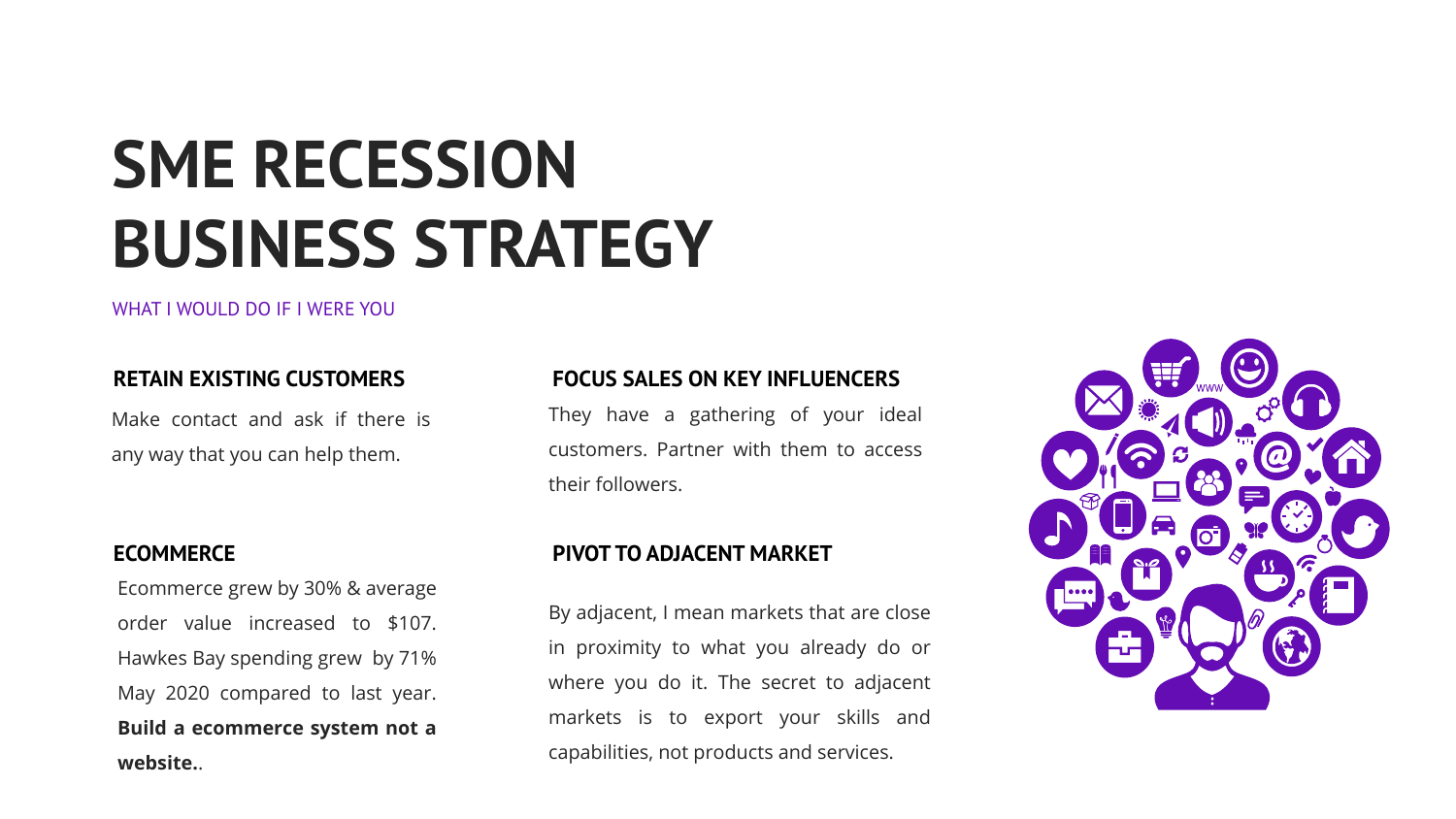# **SME RECESSION BUSINESS STRATEGY**

#### WHAT I WOULD DO IF I WERE YOU

#### **RETAIN EXISTING CUSTOMERS**

Make contact and ask if there is any way that you can help them.

#### **ECOMMERCE**

Ecommerce grew by 30% & average order value increased to \$107. Hawkes Bay spending grew by 71% May 2020 compared to last year. **Build a ecommerce system not a website.**.

### **FOCUS SALES ON KEY INFLUENCERS**

They have a gathering of your ideal customers. Partner with them to access their followers.

#### **PIVOT TO ADJACENT MARKET**

By adjacent, I mean markets that are close in proximity to what you already do or where you do it. The secret to adjacent markets is to export your skills and capabilities, not products and services.

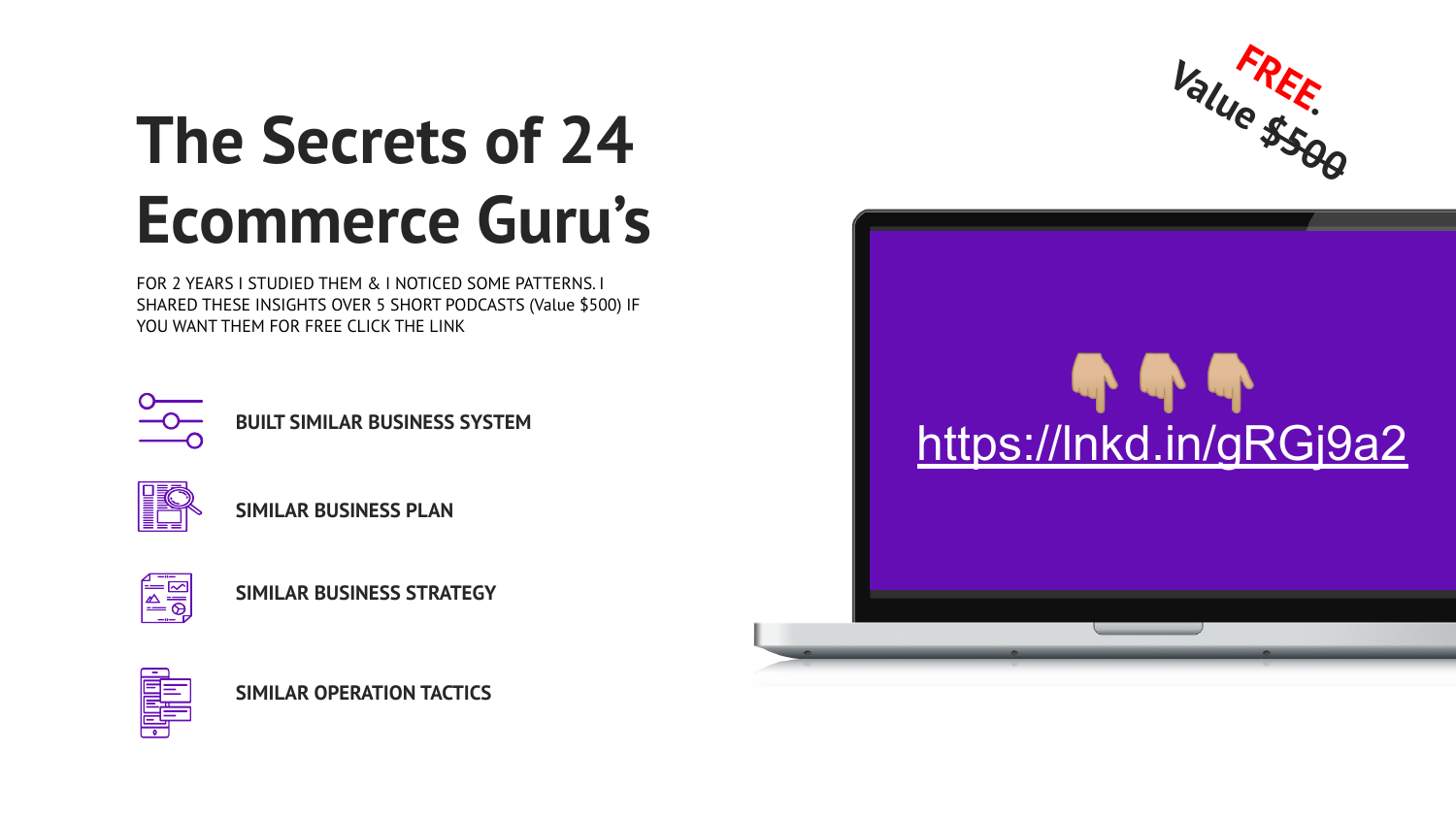

### **The Secrets of 24 Ecommerce Guru's**

FOR 2 YEARS I STUDIED THEM & I NOTICED SOME PATTERNS. I SHARED THESE INSIGHTS OVER 5 SHORT PODCASTS (Value \$500) IF YOU WANT THEM FOR FREE CLICK THE LINK



**BUILT SIMILAR BUSINESS SYSTEM**











**SIMILAR OPERATION TACTICS**

 $\mathbf{u}$  and  $\mathbf{u}$ [https://lnkd.in/gRGj9a2](https://lnkd.in/gRGj9a2?fbclid=IwAR2qtmdLU6sv-qq6XEL7lEJyLWolUUpoZJsaz-8QEWXZgphda8N7NcS_OJE)